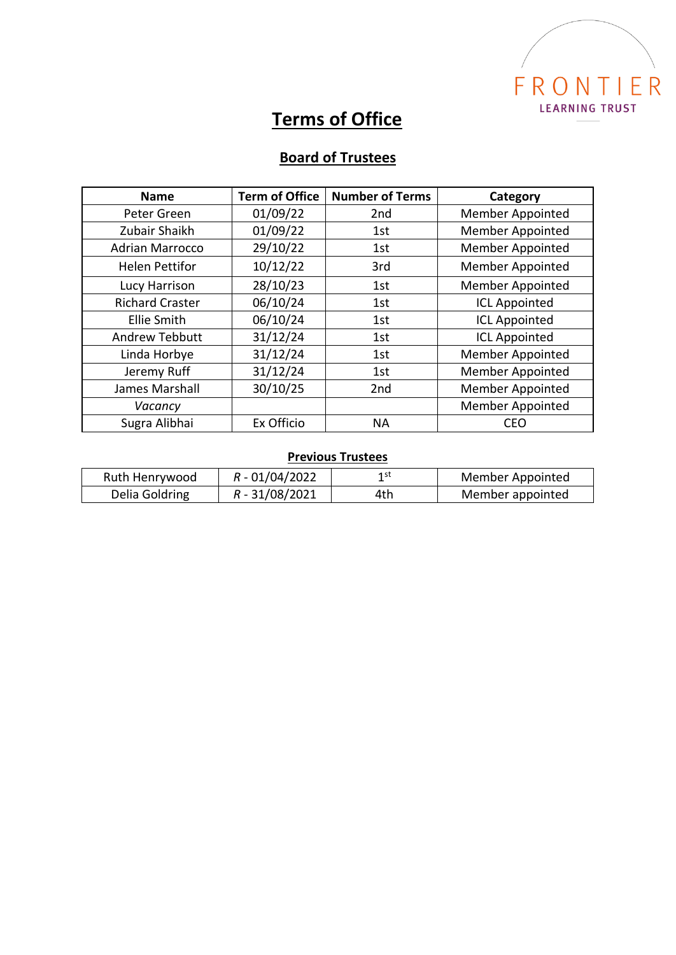

## **Terms of Office**

## **Board of Trustees**

| <b>Name</b>            | <b>Term of Office</b> | <b>Number of Terms</b> | Category                |
|------------------------|-----------------------|------------------------|-------------------------|
| Peter Green            | 01/09/22              | 2 <sub>nd</sub>        | <b>Member Appointed</b> |
| Zubair Shaikh          | 01/09/22              | 1st                    | <b>Member Appointed</b> |
| <b>Adrian Marrocco</b> | 29/10/22              | 1st                    | Member Appointed        |
| <b>Helen Pettifor</b>  | 10/12/22              | 3rd                    | <b>Member Appointed</b> |
| Lucy Harrison          | 28/10/23              | 1st                    | <b>Member Appointed</b> |
| <b>Richard Craster</b> | 06/10/24              | 1st                    | <b>ICL Appointed</b>    |
| <b>Ellie Smith</b>     | 06/10/24              | 1st                    | <b>ICL Appointed</b>    |
| <b>Andrew Tebbutt</b>  | 31/12/24              | 1st                    | <b>ICL Appointed</b>    |
| Linda Horbye           | 31/12/24              | 1st                    | <b>Member Appointed</b> |
| Jeremy Ruff            | 31/12/24              | 1st                    | <b>Member Appointed</b> |
| James Marshall         | 30/10/25              | 2nd                    | Member Appointed        |
| Vacancy                |                       |                        | Member Appointed        |
| Sugra Alibhai          | Ex Officio            | <b>NA</b>              | CEO                     |

## **Previous Trustees**

| Ruth Henrywood | $R - 01/04/2022$ | 1 st | Member Appointed |
|----------------|------------------|------|------------------|
| Delia Goldring | $R - 31/08/2021$ | 4th  | Member appointed |